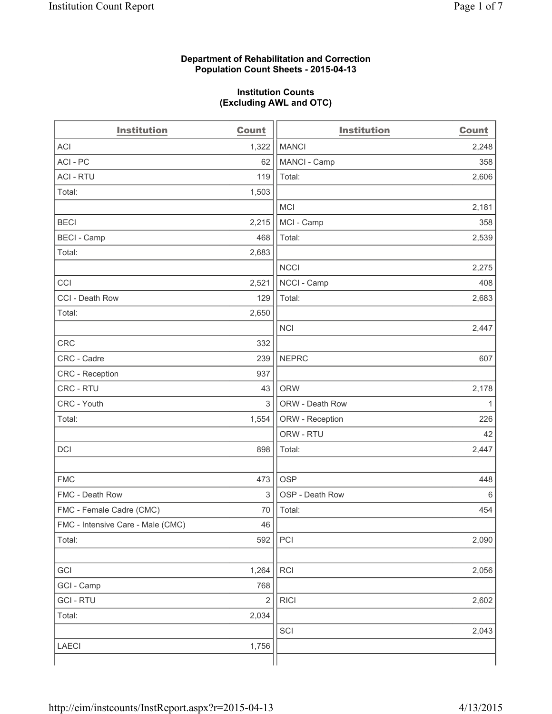#### **Department of Rehabilitation and Correction Population Count Sheets - 2015-04-13**

#### **Institution Counts (Excluding AWL and OTC)**

| <b>Institution</b>                | <b>Count</b>   | <b>Institution</b> | <b>Count</b> |
|-----------------------------------|----------------|--------------------|--------------|
| <b>ACI</b>                        | 1,322          | <b>MANCI</b>       | 2,248        |
| ACI-PC                            | 62             | MANCI - Camp       | 358          |
| <b>ACI - RTU</b>                  | 119            | Total:             | 2,606        |
| Total:                            | 1,503          |                    |              |
|                                   |                | <b>MCI</b>         | 2,181        |
| <b>BECI</b>                       | 2,215          | MCI - Camp         | 358          |
| <b>BECI - Camp</b>                | 468            | Total:             | 2,539        |
| Total:                            | 2,683          |                    |              |
|                                   |                | <b>NCCI</b>        | 2,275        |
| CCI                               | 2,521          | NCCI - Camp        | 408          |
| CCI - Death Row                   | 129            | Total:             | 2,683        |
| Total:                            | 2,650          |                    |              |
|                                   |                | <b>NCI</b>         | 2,447        |
| <b>CRC</b>                        | 332            |                    |              |
| CRC - Cadre                       | 239            | <b>NEPRC</b>       | 607          |
| CRC - Reception                   | 937            |                    |              |
| CRC - RTU                         | 43             | <b>ORW</b>         | 2,178        |
| CRC - Youth                       | 3              | ORW - Death Row    | 1            |
| Total:                            | 1,554          | ORW - Reception    | 226          |
|                                   |                | ORW - RTU          | 42           |
| DCI                               | 898            | Total:             | 2,447        |
|                                   |                |                    |              |
| <b>FMC</b>                        | 473            | <b>OSP</b>         | 448          |
| FMC - Death Row                   | 3              | OSP - Death Row    | 6            |
| FMC - Female Cadre (CMC)          | 70             | Total:             | 454          |
| FMC - Intensive Care - Male (CMC) | 46             |                    |              |
| Total:                            | 592            | PCI                | 2,090        |
|                                   |                |                    |              |
| GCI                               | 1,264          | <b>RCI</b>         | 2,056        |
| GCI - Camp                        | 768            |                    |              |
| <b>GCI-RTU</b>                    | $\overline{c}$ | <b>RICI</b>        | 2,602        |
| Total:                            | 2,034          |                    |              |
|                                   |                | SCI                | 2,043        |
| <b>LAECI</b>                      | 1,756          |                    |              |
|                                   |                |                    |              |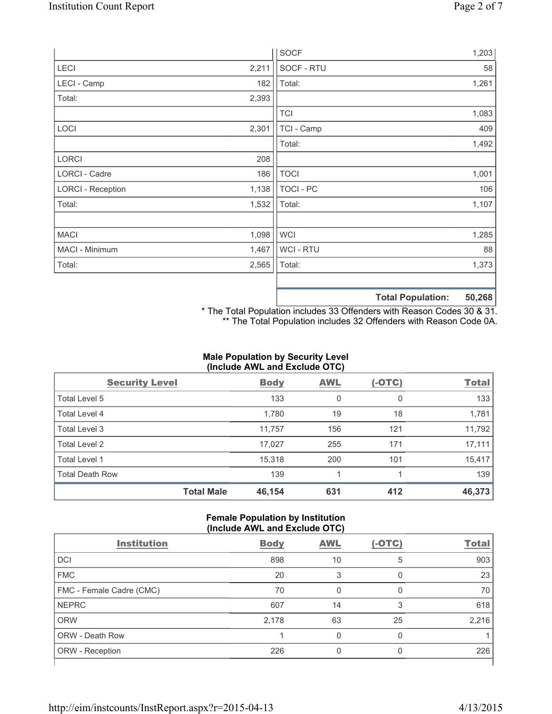|                          |       | <b>SOCF</b>      | 1,203                       |
|--------------------------|-------|------------------|-----------------------------|
| LECI                     | 2,211 | SOCF - RTU       | 58                          |
| LECI - Camp              | 182   | Total:           | 1,261                       |
| Total:                   | 2,393 |                  |                             |
|                          |       | <b>TCI</b>       | 1,083                       |
| LOCI                     | 2,301 | TCI - Camp       | 409                         |
|                          |       | Total:           | 1,492                       |
| LORCI                    | 208   |                  |                             |
| LORCI - Cadre            | 186   | <b>TOCI</b>      | 1,001                       |
| <b>LORCI - Reception</b> | 1,138 | <b>TOCI - PC</b> | 106                         |
| Total:                   | 1,532 | Total:           | 1,107                       |
|                          |       |                  |                             |
| <b>MACI</b>              | 1,098 | <b>WCI</b>       | 1,285                       |
| MACI - Minimum           | 1,467 | WCI - RTU        | 88                          |
| Total:                   | 2,565 | Total:           | 1,373                       |
|                          |       |                  | ED DCO<br>Total Danulations |

**Total Population: 50,268**

\* The Total Population includes 33 Offenders with Reason Codes 30 & 31. \*\* The Total Population includes 32 Offenders with Reason Code 0A.

# **Male Population by Security Level (Include AWL and Exclude OTC)**

| <b>Security Level</b>  |                   | <b>Body</b> | <b>AWL</b> | $(-OTC)$ | <b>Total</b> |
|------------------------|-------------------|-------------|------------|----------|--------------|
| Total Level 5          |                   | 133         | 0          | 0        | 133          |
| Total Level 4          |                   | 1,780       | 19         | 18       | 1,781        |
| Total Level 3          |                   | 11,757      | 156        | 121      | 11,792       |
| Total Level 2          |                   | 17,027      | 255        | 171      | 17,111       |
| Total Level 1          |                   | 15,318      | 200        | 101      | 15,417       |
| <b>Total Death Row</b> |                   | 139         |            |          | 139          |
|                        | <b>Total Male</b> | 46,154      | 631        | 412      | 46,373       |

#### **Female Population by Institution (Include AWL and Exclude OTC)**

| <b>Institution</b>       | <b>Body</b> | <b>AWL</b> | $(-OTC)$ | <b>Total</b> |  |  |
|--------------------------|-------------|------------|----------|--------------|--|--|
| <b>DCI</b>               | 898         | 10         | 5        | 903          |  |  |
| <b>FMC</b>               | 20          | 3          | 0        | 23           |  |  |
| FMC - Female Cadre (CMC) | 70          | 0          | 0        | 70           |  |  |
| <b>NEPRC</b>             | 607         | 14         | 3        | 618          |  |  |
| <b>ORW</b>               | 2,178       | 63         | 25       | 2,216        |  |  |
| <b>ORW - Death Row</b>   |             | U          | $\Omega$ |              |  |  |
| ORW - Reception          | 226         |            | 0        | 226          |  |  |
|                          |             |            |          |              |  |  |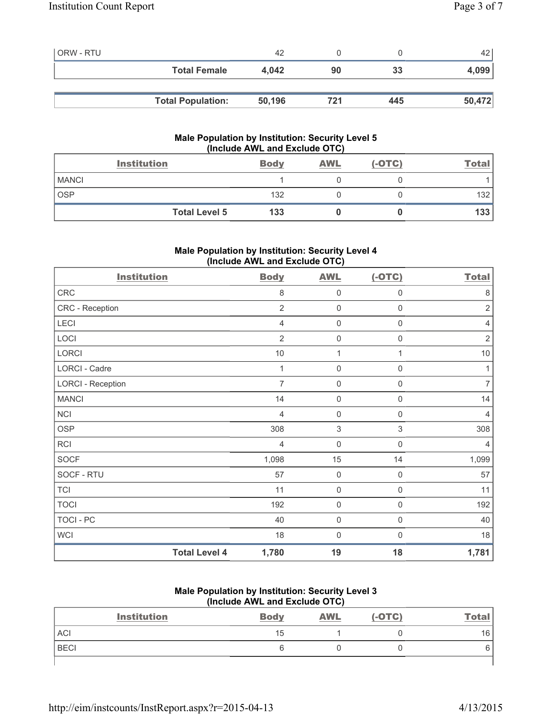| <b>ORW - RTU</b> |                          | 42     |     |     | 42     |
|------------------|--------------------------|--------|-----|-----|--------|
|                  | <b>Total Female</b>      | 4.042  | 90  | 33  | 4,099  |
|                  |                          |        |     |     |        |
|                  | <b>Total Population:</b> | 50,196 | 721 | 445 | 50,472 |

# **Male Population by Institution: Security Level 5 (Include AWL and Exclude OTC)**

|              | <b>Institution</b>   | <b>Body</b> | <b>AWL</b> | $(-OTC)$ | <u>Total</u> |
|--------------|----------------------|-------------|------------|----------|--------------|
| <b>MANCI</b> |                      |             |            |          |              |
| <b>OSP</b>   |                      | 132         |            |          | 132          |
|              | <b>Total Level 5</b> | 133         |            |          | 133          |

# **Male Population by Institution: Security Level 4 (Include AWL and Exclude OTC)**

| <b>Institution</b>       |                      | <b>Body</b>    | <b>AWL</b>          | $(-OTC)$            | <b>Total</b>   |
|--------------------------|----------------------|----------------|---------------------|---------------------|----------------|
| ${\sf CRC}$              |                      | 8              | 0                   | 0                   | 8              |
| CRC - Reception          |                      | $\overline{2}$ | 0                   | 0                   | $\overline{2}$ |
| LECI                     |                      | 4              | 0                   | $\boldsymbol{0}$    | $\overline{4}$ |
| LOCI                     |                      | $\overline{2}$ | $\mathsf{O}\xspace$ | 0                   | $\overline{2}$ |
| LORCI                    |                      | $10$           | 1                   | 1                   | $10$           |
| LORCI - Cadre            |                      | $\mathbf 1$    | $\mathbf 0$         | $\mathsf{O}\xspace$ | 1              |
| <b>LORCI - Reception</b> |                      | $\overline{7}$ | $\mathbf 0$         | $\boldsymbol{0}$    | $\overline{7}$ |
| <b>MANCI</b>             |                      | 14             | 0                   | $\mathsf{O}\xspace$ | 14             |
| NCI                      |                      | $\overline{4}$ | $\mathsf{O}\xspace$ | $\boldsymbol{0}$    | $\overline{4}$ |
| <b>OSP</b>               |                      | 308            | 3                   | 3                   | 308            |
| <b>RCI</b>               |                      | $\overline{4}$ | $\boldsymbol{0}$    | 0                   | $\overline{4}$ |
| <b>SOCF</b>              |                      | 1,098          | 15                  | 14                  | 1,099          |
| SOCF - RTU               |                      | 57             | $\mathbf 0$         | $\boldsymbol{0}$    | 57             |
| <b>TCI</b>               |                      | 11             | $\mathbf 0$         | $\mathbf 0$         | 11             |
| <b>TOCI</b>              |                      | 192            | $\mathbf 0$         | $\mathbf 0$         | 192            |
| TOCI - PC                |                      | 40             | $\mathbf 0$         | $\mathbf 0$         | 40             |
| <b>WCI</b>               |                      | 18             | $\mathbf 0$         | $\Omega$            | 18             |
|                          | <b>Total Level 4</b> | 1,780          | 19                  | 18                  | 1,781          |

#### **Male Population by Institution: Security Level 3 (Include AWL and Exclude OTC)**

| <b>Institution</b> | <b>Body</b> | <b>AWL</b> | $(-OTC)$ | <b>Total</b> |
|--------------------|-------------|------------|----------|--------------|
| ACI                | 15          |            |          | 16           |
| <b>BECI</b>        |             |            |          |              |
|                    |             |            |          |              |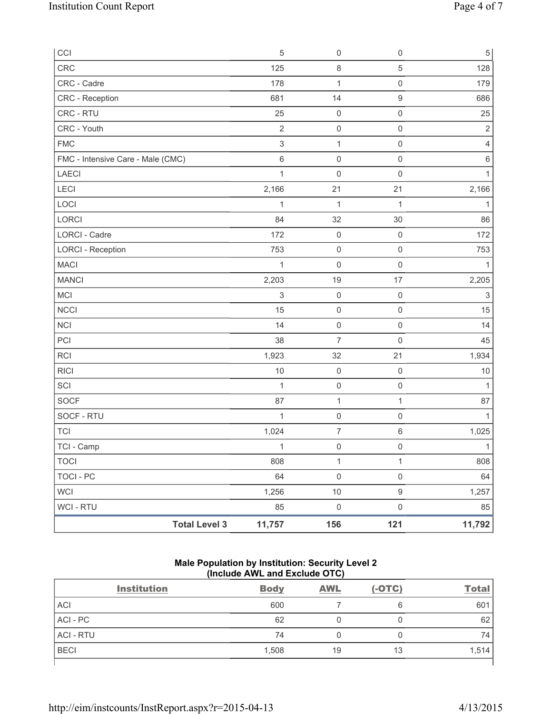| CCI                               | 5              | 0                   | $\mathsf 0$         | $\,$ 5 $\,$  |
|-----------------------------------|----------------|---------------------|---------------------|--------------|
| CRC                               | 125            | $\,8\,$             | $\overline{5}$      | 128          |
| CRC - Cadre                       | 178            | $\mathbf{1}$        | $\mathsf{O}\xspace$ | 179          |
| <b>CRC</b> - Reception            | 681            | 14                  | $\hbox{9}$          | 686          |
| CRC - RTU                         | 25             | $\mathbf 0$         | $\mathsf 0$         | 25           |
| CRC - Youth                       | $\overline{2}$ | $\mathsf{O}\xspace$ | $\mathsf 0$         | $\mathbf 2$  |
| <b>FMC</b>                        | $\mathsf 3$    | $\mathbf{1}$        | $\mathsf 0$         | 4            |
| FMC - Intensive Care - Male (CMC) | $\,6\,$        | $\mathsf{O}\xspace$ | $\mathsf 0$         | 6            |
| <b>LAECI</b>                      | $\mathbf{1}$   | $\mathsf{O}\xspace$ | $\mathsf 0$         | 1            |
| LECI                              | 2,166          | 21                  | 21                  | 2,166        |
| LOCI                              | 1              | $\mathbf{1}$        | 1                   | 1            |
| LORCI                             | 84             | 32                  | 30                  | 86           |
| <b>LORCI - Cadre</b>              | 172            | $\mathsf{O}\xspace$ | $\mathsf 0$         | 172          |
| <b>LORCI - Reception</b>          | 753            | $\mathsf{O}\xspace$ | $\mathsf{O}\xspace$ | 753          |
| <b>MACI</b>                       | 1              | $\mathbf 0$         | $\mathsf 0$         | 1            |
| <b>MANCI</b>                      | 2,203          | 19                  | 17                  | 2,205        |
| MCI                               | $\,$ 3 $\,$    | $\mathsf{O}\xspace$ | $\mathsf{O}\xspace$ | $\sqrt{3}$   |
| <b>NCCI</b>                       | 15             | $\mathbf 0$         | $\mathsf 0$         | 15           |
| <b>NCI</b>                        | 14             | $\mathsf{O}\xspace$ | $\mathsf 0$         | 14           |
| PCI                               | 38             | $\overline{7}$      | $\mathsf 0$         | 45           |
| <b>RCI</b>                        | 1,923          | 32                  | 21                  | 1,934        |
| <b>RICI</b>                       | 10             | $\mathsf{O}\xspace$ | $\mathsf 0$         | 10           |
| SCI                               | $\mathbf{1}$   | $\mathsf{O}\xspace$ | $\mathsf 0$         | 1            |
| <b>SOCF</b>                       | 87             | $\mathbf 1$         | 1                   | 87           |
| SOCF - RTU                        | $\mathbf{1}$   | $\mathsf{O}\xspace$ | $\mathsf{O}\xspace$ | 1            |
| <b>TCI</b>                        | 1,024          | $\overline{7}$      | $\,6\,$             | 1,025        |
| TCI - Camp                        | $\mathbf{1}$   | $\mathsf{O}\xspace$ | $\mathsf 0$         | $\mathbf{1}$ |
| <b>TOCI</b>                       | 808            | $\mathbf{1}$        | $\mathbf{1}$        | 808          |
| <b>TOCI - PC</b>                  | 64             | $\mathsf{O}\xspace$ | $\mathsf{O}\xspace$ | 64           |
| <b>WCI</b>                        | 1,256          | $10$                | $\boldsymbol{9}$    | 1,257        |
| WCI - RTU                         | 85             | $\mathsf 0$         | $\mathsf 0$         | 85           |
| <b>Total Level 3</b>              | 11,757         | 156                 | 121                 | 11,792       |

# **Male Population by Institution: Security Level 2 (Include AWL and Exclude OTC)**

| <b>Institution</b> | <b>Body</b> | <b>AWL</b> | $(-OTC)$ | <b>Total</b> |
|--------------------|-------------|------------|----------|--------------|
| <b>ACI</b>         | 600         |            | 6        | 601          |
| ACI-PC             | 62          |            | 0        | 62           |
| <b>ACI - RTU</b>   | 74          |            | 0        | 74           |
| <b>BECI</b>        | 1,508       | 19         | 13       | 1,514        |
|                    |             |            |          |              |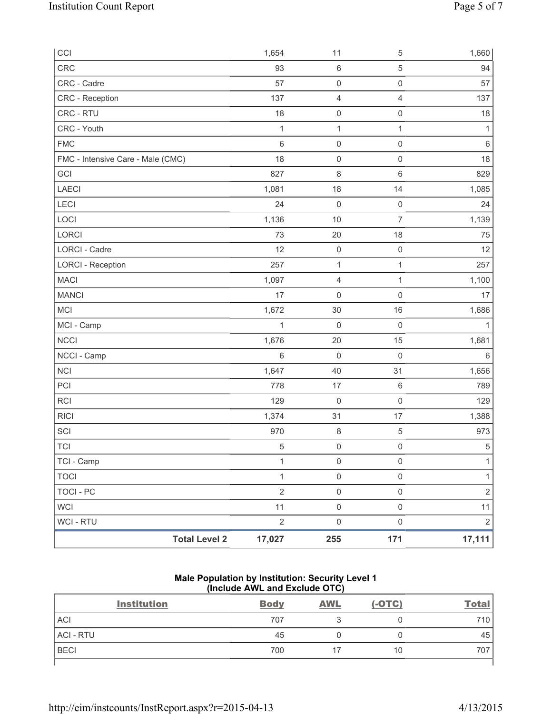| CCI                               |                      | 1,654        | 11                  | 5                   | 1,660          |
|-----------------------------------|----------------------|--------------|---------------------|---------------------|----------------|
| CRC                               |                      | 93           | $\,6\,$             | $\,$ 5 $\,$         | 94             |
| CRC - Cadre                       |                      | 57           | $\mathsf{O}\xspace$ | $\mathsf{O}\xspace$ | 57             |
| CRC - Reception                   |                      | 137          | $\overline{4}$      | 4                   | 137            |
| CRC - RTU                         |                      | 18           | $\mathsf{O}\xspace$ | $\mathsf{O}\xspace$ | 18             |
| CRC - Youth                       |                      | $\mathbf{1}$ | $\mathbf 1$         | $\mathbf{1}$        | $\mathbf{1}$   |
| <b>FMC</b>                        |                      | 6            | $\mathsf{O}\xspace$ | $\mathsf 0$         | $\,6\,$        |
| FMC - Intensive Care - Male (CMC) |                      | 18           | $\mathsf{O}\xspace$ | $\mathsf 0$         | 18             |
| GCI                               |                      | 827          | 8                   | 6                   | 829            |
| LAECI                             |                      | 1,081        | 18                  | 14                  | 1,085          |
| LECI                              |                      | 24           | $\boldsymbol{0}$    | $\mathsf{O}\xspace$ | 24             |
| LOCI                              |                      | 1,136        | 10                  | $\overline{7}$      | 1,139          |
| LORCI                             |                      | 73           | 20                  | 18                  | 75             |
| LORCI - Cadre                     |                      | 12           | $\boldsymbol{0}$    | $\mathsf 0$         | 12             |
| <b>LORCI - Reception</b>          |                      | 257          | $\mathbf{1}$        | $\mathbf{1}$        | 257            |
| <b>MACI</b>                       |                      | 1,097        | $\overline{4}$      | $\mathbf{1}$        | 1,100          |
| <b>MANCI</b>                      |                      | 17           | $\mathsf{O}\xspace$ | $\mathsf{O}\xspace$ | 17             |
| MCI                               |                      | 1,672        | 30                  | 16                  | 1,686          |
| MCI - Camp                        |                      | 1            | $\mathsf{O}\xspace$ | $\mathbf 0$         | $\mathbf{1}$   |
| <b>NCCI</b>                       |                      | 1,676        | 20                  | 15                  | 1,681          |
| NCCI - Camp                       |                      | 6            | $\mathbf 0$         | $\mathbf 0$         | 6              |
| NCI                               |                      | 1,647        | 40                  | 31                  | 1,656          |
| PCI                               |                      | 778          | 17                  | $\,$ 6 $\,$         | 789            |
| <b>RCI</b>                        |                      | 129          | $\mathsf{O}\xspace$ | $\mathsf{O}\xspace$ | 129            |
| <b>RICI</b>                       |                      | 1,374        | 31                  | 17                  | 1,388          |
| SCI                               |                      | 970          | $\,8\,$             | 5                   | 973            |
| <b>TCI</b>                        |                      | 5            | $\mathsf{O}\xspace$ | $\mathsf{O}\xspace$ | $\,$ 5 $\,$    |
| TCI - Camp                        |                      | $\mathbf{1}$ | $\mathsf{O}\xspace$ | $\mathsf{O}\xspace$ | $\mathbf{1}$   |
| <b>TOCI</b>                       |                      | $\mathbf{1}$ | $\mathsf{O}\xspace$ | $\mathsf{O}\xspace$ | $\mathbf{1}$   |
| TOCI - PC                         |                      | $\sqrt{2}$   | $\mathsf{O}\xspace$ | $\mathsf{O}\xspace$ | $\sqrt{2}$     |
| <b>WCI</b>                        |                      | 11           | $\mathsf 0$         | $\mathsf{O}\xspace$ | 11             |
| WCI - RTU                         |                      | $\sqrt{2}$   | $\mathsf{O}\xspace$ | $\mathsf{O}\xspace$ | $\overline{2}$ |
|                                   | <b>Total Level 2</b> | 17,027       | 255                 | 171                 | 17,111         |

## **Male Population by Institution: Security Level 1 (Include AWL and Exclude OTC)**

| <b>Institution</b> | <b>Body</b> | <b>AWL</b> | $(-OTC)$ | <u>Total</u> |
|--------------------|-------------|------------|----------|--------------|
| <b>ACI</b>         | 707         |            |          | 710          |
| <b>ACI - RTU</b>   | 45          |            |          | 45           |
| <b>BECI</b>        | 700         |            | 10       | 707          |
|                    |             |            |          |              |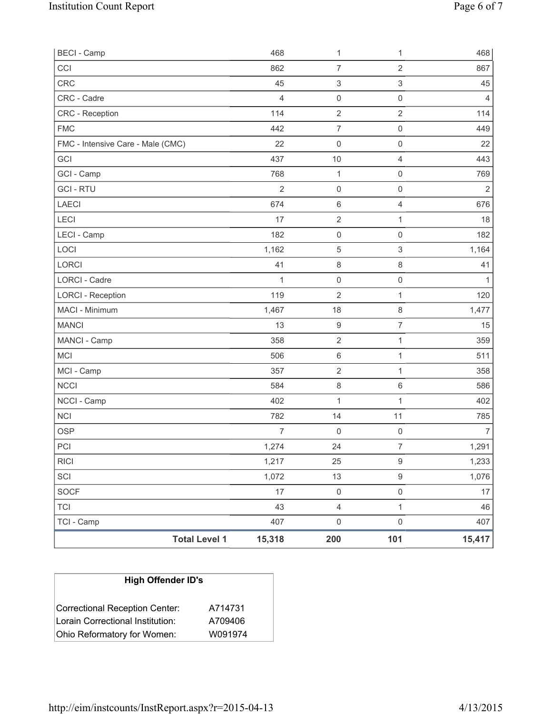| <b>BECI - Camp</b>                |                      | 468            | 1                         | 1                   | 468            |
|-----------------------------------|----------------------|----------------|---------------------------|---------------------|----------------|
| CCI                               |                      | 862            | $\overline{7}$            | $\overline{2}$      | 867            |
| <b>CRC</b>                        |                      | 45             | $\ensuremath{\mathsf{3}}$ | 3                   | 45             |
| CRC - Cadre                       |                      | $\overline{4}$ | $\mathsf{O}\xspace$       | $\mathsf{O}\xspace$ | 4              |
| <b>CRC</b> - Reception            |                      | 114            | $\mathbf 2$               | $\overline{2}$      | 114            |
| <b>FMC</b>                        |                      | 442            | $\overline{7}$            | $\mathsf{O}\xspace$ | 449            |
| FMC - Intensive Care - Male (CMC) |                      | 22             | $\mathsf{O}\xspace$       | $\mathsf{O}\xspace$ | 22             |
| GCI                               |                      | 437            | 10                        | $\overline{4}$      | 443            |
| GCI - Camp                        |                      | 768            | $\mathbf 1$               | $\mathsf{O}\xspace$ | 769            |
| <b>GCI-RTU</b>                    |                      | $\overline{2}$ | $\mathsf{O}\xspace$       | $\mathsf{O}\xspace$ | $\overline{2}$ |
| LAECI                             |                      | 674            | 6                         | $\overline{4}$      | 676            |
| LECI                              |                      | 17             | $\mathbf 2$               | 1                   | 18             |
| LECI - Camp                       |                      | 182            | $\mathsf{O}\xspace$       | 0                   | 182            |
| LOCI                              |                      | 1,162          | $\mathbf 5$               | 3                   | 1,164          |
| LORCI                             |                      | 41             | $\,8\,$                   | $\,8\,$             | 41             |
| <b>LORCI - Cadre</b>              |                      | 1              | $\mathsf{O}\xspace$       | $\mathsf{O}\xspace$ | 1              |
| <b>LORCI - Reception</b>          |                      | 119            | 2                         | 1                   | 120            |
| MACI - Minimum                    |                      | 1,467          | 18                        | 8                   | 1,477          |
| <b>MANCI</b>                      |                      | 13             | $\boldsymbol{9}$          | 7                   | 15             |
| MANCI - Camp                      |                      | 358            | $\sqrt{2}$                | 1                   | 359            |
| <b>MCI</b>                        |                      | 506            | 6                         | 1                   | 511            |
| MCI - Camp                        |                      | 357            | $\sqrt{2}$                | 1                   | 358            |
| <b>NCCI</b>                       |                      | 584            | 8                         | 6                   | 586            |
| NCCI - Camp                       |                      | 402            | 1                         | 1                   | 402            |
| <b>NCI</b>                        |                      | 782            | 14                        | 11                  | 785            |
| <b>OSP</b>                        |                      | $\overline{7}$ | 0                         | $\mathsf{O}\xspace$ | $\overline{7}$ |
| PCI                               |                      | 1,274          | 24                        | $\overline{7}$      | 1,291          |
| <b>RICI</b>                       |                      | 1,217          | 25                        | $\hbox{9}$          | 1,233          |
| SCI                               |                      | 1,072          | 13                        | 9                   | 1,076          |
| SOCF                              |                      | 17             | $\mathsf{O}\xspace$       | $\mathsf{O}\xspace$ | 17             |
| <b>TCI</b>                        |                      | 43             | $\overline{4}$            | $\mathbf{1}$        | 46             |
| TCI - Camp                        |                      | 407            | $\mathsf{O}\xspace$       | $\mathsf{O}\xspace$ | 407            |
|                                   | <b>Total Level 1</b> | 15,318         | 200                       | 101                 | 15,417         |

| <b>High Offender ID's</b>        |         |  |  |  |  |
|----------------------------------|---------|--|--|--|--|
| Correctional Reception Center:   | A714731 |  |  |  |  |
| Lorain Correctional Institution: | A709406 |  |  |  |  |
| Ohio Reformatory for Women:      | W091974 |  |  |  |  |